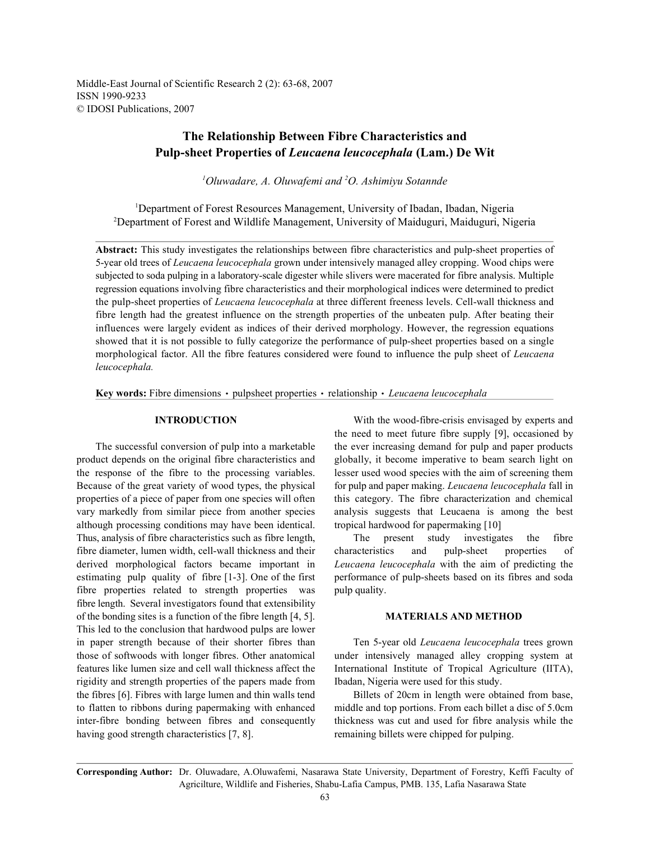Middle-East Journal of Scientific Research 2 (2): 63-68, 2007 ISSN 1990-9233 © IDOSI Publications, 2007

# **The Relationship Between Fibre Characteristics and Pulp-sheet Properties of** *Leucaena leucocephala* **(Lam.) De Wit**

<sup>1</sup>Oluwadare, A. Oluwafemi and <sup>2</sup>O. Ashimiyu Sotannde

<sup>1</sup>Department of Forest Resources Management, University of Ibadan, Ibadan, Nigeria Department of Forest and Wildlife Management, University of Maiduguri, Maiduguri, Nigeria <sup>2</sup>

**Abstract:** This study investigates the relationships between fibre characteristics and pulp-sheet properties of 5-year old trees of *Leucaena leucocephala* grown under intensively managed alley cropping. Wood chips were subjected to soda pulping in a laboratory-scale digester while slivers were macerated for fibre analysis. Multiple regression equations involving fibre characteristics and their morphological indices were determined to predict the pulp-sheet properties of *Leucaena leucocephala* at three different freeness levels. Cell-wall thickness and fibre length had the greatest influence on the strength properties of the unbeaten pulp. After beating their influences were largely evident as indices of their derived morphology. However, the regression equations showed that it is not possible to fully categorize the performance of pulp-sheet properties based on a single morphological factor. All the fibre features considered were found to influence the pulp sheet of *Leucaena leucocephala.*

Key words: Fibre dimensions · pulpsheet properties · relationship · Leucaena leucocephala

product depends on the original fibre characteristics and globally, it become imperative to beam search light on the response of the fibre to the processing variables. lesser used wood species with the aim of screening them Because of the great variety of wood types, the physical for pulp and paper making. *Leucaena leucocephala* fall in properties of a piece of paper from one species will often this category. The fibre characterization and chemical vary markedly from similar piece from another species analysis suggests that Leucaena is among the best although processing conditions may have been identical. tropical hardwood for papermaking [10] Thus, analysis of fibre characteristics such as fibre length, The present study investigates the fibre fibre diameter, lumen width, cell-wall thickness and their characteristics and pulp-sheet properties of derived morphological factors became important in *Leucaena leucocephala* with the aim of predicting the estimating pulp quality of fibre [1-3]. One of the first performance of pulp-sheets based on its fibres and soda fibre properties related to strength properties was pulp quality. fibre length. Several investigators found that extensibility of the bonding sites is a function of the fibre length [4, 5]. **MATERIALS AND METHOD** This led to the conclusion that hardwood pulps are lower in paper strength because of their shorter fibres than Ten 5-year old *Leucaena leucocephala* trees grown those of softwoods with longer fibres. Other anatomical under intensively managed alley cropping system at features like lumen size and cell wall thickness affect the International Institute of Tropical Agriculture (IITA), rigidity and strength properties of the papers made from Ibadan, Nigeria were used for this study. the fibres [6]. Fibres with large lumen and thin walls tend Billets of 20cm in length were obtained from base, to flatten to ribbons during papermaking with enhanced middle and top portions. From each billet a disc of 5.0cm inter-fibre bonding between fibres and consequently thickness was cut and used for fibre analysis while the having good strength characteristics [7, 8]. remaining billets were chipped for pulping.

**INTRODUCTION** With the wood-fibre-crisis envisaged by experts and The successful conversion of pulp into a marketable the ever increasing demand for pulp and paper products the need to meet future fibre supply [9], occasioned by

**Corresponding Author:** Dr. Oluwadare, A.Oluwafemi, Nasarawa State University, Department of Forestry, Keffi Faculty of Agricilture, Wildlife and Fisheries, Shabu-Lafia Campus, PMB. 135, Lafia Nasarawa State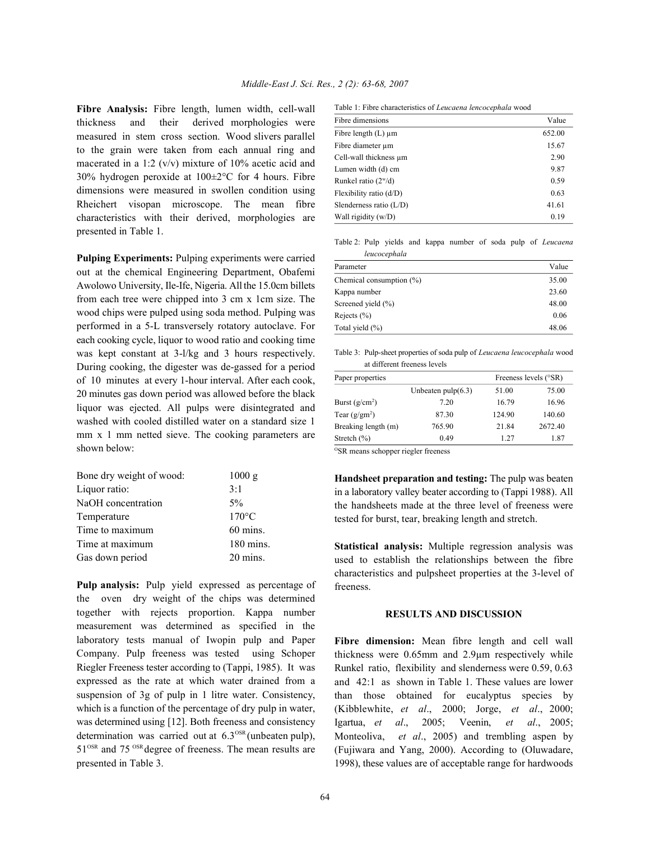**Fibre Analysis:** Fibre length, lumen width, cell-wall thickness and their derived morphologies were measured in stem cross section. Wood slivers parallel to the grain were taken from each annual ring and macerated in a 1:2 ( $v/v$ ) mixture of 10% acetic acid and 30% hydrogen peroxide at 100±2°C for 4 hours. Fibre dimensions were measured in swollen condition using Rheichert visopan microscope. The mean fibre characteristics with their derived, morphologies are presented in Table 1.

**Pulping Experiments:** Pulping experiments were carried out at the chemical Engineering Department, Obafemi Awolowo University, Ile-Ife, Nigeria. All the 15.0cm billets from each tree were chipped into 3 cm x 1cm size. The wood chips were pulped using soda method. Pulping was performed in a 5-L transversely rotatory autoclave. For each cooking cycle, liquor to wood ratio and cooking time was kept constant at 3-l/kg and 3 hours respectively. During cooking, the digester was de-gassed for a period of 10 minutes at every 1-hour interval. After each cook, 20 minutes gas down period was allowed before the black liquor was ejected. All pulps were disintegrated and washed with cooled distilled water on a standard size 1 mm x 1 mm netted sieve. The cooking parameters are shown below:

| Bone dry weight of wood: | 1000 g          |
|--------------------------|-----------------|
| Liquor ratio:            | 3:1             |
| NaOH concentration       | $5\%$           |
| Temperature              | $170^{\circ}$ C |
| Time to maximum          | $60$ mins.      |
| Time at maximum          | 180 mins.       |
| Gas down period          | 20 mins.        |

**Pulp analysis:** Pulp yield expressed as percentage of the oven dry weight of the chips was determined together with rejects proportion. Kappa number measurement was determined as specified in the laboratory tests manual of Iwopin pulp and Paper Company. Pulp freeness was tested using Schoper Riegler Freeness tester according to (Tappi, 1985). It was expressed as the rate at which water drained from a suspension of 3g of pulp in 1 litre water. Consistency, which is a function of the percentage of dry pulp in water, was determined using [12]. Both freeness and consistency determination was carried out at  $6.3<sup>OSR</sup>$  (unbeaten pulp),  $51<sup>OSR</sup>$  and 75<sup> $OSR$ </sup> degree of freeness. The mean results are presented in Table 3.

Table 1: Fibre characteristics of *Leucaena lencocephala* wood

| Fibre dimensions          | Value  |
|---------------------------|--------|
| Fibre length $(L)$ µm     | 652.00 |
| Fibre diameter um         | 15.67  |
| Cell-wall thickness um    | 2.90   |
| Lumen width (d) cm        | 9.87   |
| Runkel ratio $(2^w/d)$    | 0.59   |
| Flexibility ratio $(d/D)$ | 0.63   |
| Slenderness ratio $(L/D)$ | 41.61  |
| Wall rigidity (w/D)       | 0.19   |

Table 2: Pulp yields and kappa number of soda pulp of *Leucaena leucocephala*

| Parameter                   | Value |
|-----------------------------|-------|
| Chemical consumption $(\%)$ | 35.00 |
| Kappa number                | 23.60 |
| Screened yield $(\% )$      | 48.00 |
| Rejects $(\% )$             | 0.06  |
| Total yield (%)             | 48.06 |

Table 3: Pulp-sheet properties of soda pulp of *Leucaena leucocephala* wood at different freeness levels

| Paper properties                                                                                                                                                                                                            |                      | Freeness levels (°SR) |         |  |
|-----------------------------------------------------------------------------------------------------------------------------------------------------------------------------------------------------------------------------|----------------------|-----------------------|---------|--|
|                                                                                                                                                                                                                             | Unbeaten $pulp(6.3)$ | 51.00                 | 75.00   |  |
| Burst $(g/cm^2)$                                                                                                                                                                                                            | 7.20                 | 16.79                 | 16.96   |  |
| Tear $(g/gm^2)$                                                                                                                                                                                                             | 87.30                | 124.90                | 140.60  |  |
| Breaking length (m)                                                                                                                                                                                                         | 765.90               | 21.84                 | 2672.40 |  |
| Stretch $(\% )$                                                                                                                                                                                                             | 0.49                 | 1.27                  | 1.87    |  |
| $0.000$ and $0.0000$ and $0.0000$ and $0.0000$ and $0.0000$ and $0.0000$ and $0.0000$ and $0.0000$ and $0.0000$ and $0.0000$ and $0.0000$ and $0.0000$ and $0.0000$ and $0.0000$ and $0.0000$ and $0.0000$ and $0.0000$ and |                      |                       |         |  |

SR means schopper riegler freeness

**Handsheet preparation and testing:** The pulp was beaten in a laboratory valley beater according to (Tappi 1988). All the handsheets made at the three level of freeness were tested for burst, tear, breaking length and stretch.

**Statistical analysis:** Multiple regression analysis was used to establish the relationships between the fibre characteristics and pulpsheet properties at the 3-level of freeness.

## **RESULTS AND DISCUSSION**

**Fibre dimension:** Mean fibre length and cell wall thickness were 0.65mm and 2.9µm respectively while Runkel ratio, flexibility and slenderness were 0.59, 0.63 and 42:1 as shown in Table 1. These values are lower than those obtained for eucalyptus species by (Kibblewhite, *et al*., 2000; Jorge, *et al*., 2000; Igartua, *et al*., 2005; Veenin, *et al*., 2005; Monteoliva, *et al*., 2005) and trembling aspen by (Fujiwara and Yang, 2000). According to (Oluwadare, 1998), these values are of acceptable range for hardwoods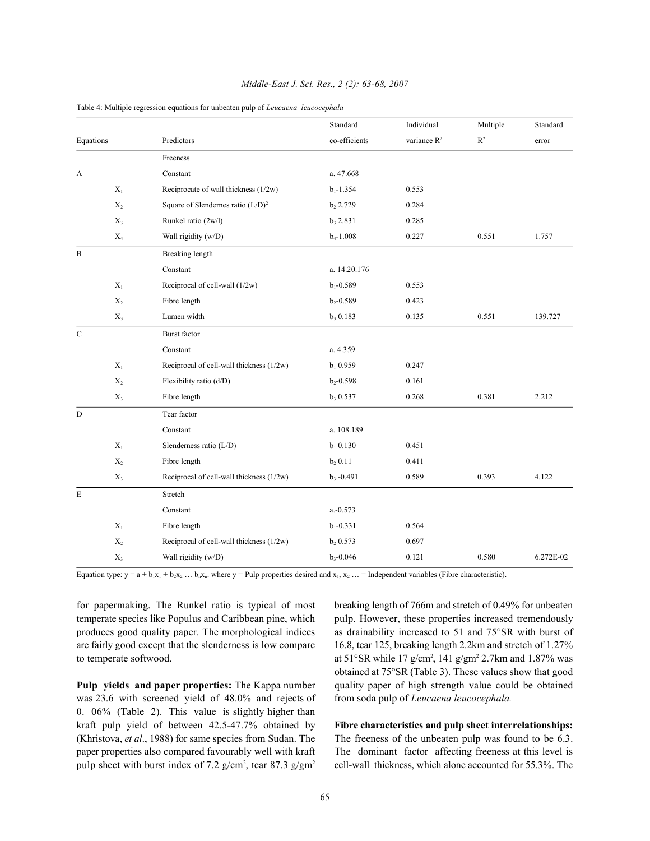|              |                |                                          | Standard      | Individual              | Multiple       | Standard  |
|--------------|----------------|------------------------------------------|---------------|-------------------------|----------------|-----------|
| Equations    |                | Predictors                               | co-efficients | variance R <sup>2</sup> | $\mathbb{R}^2$ | error     |
|              |                | Freeness                                 |               |                         |                |           |
| A            |                | Constant                                 | a. 47.668     |                         |                |           |
|              | $\mathbf{X}_1$ | Reciprocate of wall thickness (1/2w)     | $b_1 - 1.354$ | 0.553                   |                |           |
|              | $\mathbf{X}_2$ | Square of Slendernes ratio $(L/D)^2$     | $b_2 2.729$   | 0.284                   |                |           |
|              | $X_3$          | Runkel ratio (2w/l)                      | $b_3 2.831$   | 0.285                   |                |           |
|              | $\mathbf{X}_4$ | Wall rigidity (w/D)                      | $b_4 - 1.008$ | 0.227                   | 0.551          | 1.757     |
| $\, {\bf B}$ |                | Breaking length                          |               |                         |                |           |
|              |                | Constant                                 | a. 14.20.176  |                         |                |           |
|              | $X_1$          | Reciprocal of cell-wall (1/2w)           | $b_1 - 0.589$ | 0.553                   |                |           |
|              | $\mathbf{X}_2$ | Fibre length                             | $b_2 - 0.589$ | 0.423                   |                |           |
|              | $\mathbf{X}_3$ | Lumen width                              | $b_3 0.183$   | 0.135                   | 0.551          | 139.727   |
| $\mathbf C$  |                | <b>Burst</b> factor                      |               |                         |                |           |
|              |                | Constant                                 | a. 4.359      |                         |                |           |
|              | $X_1$          | Reciprocal of cell-wall thickness (1/2w) | $b_1$ 0.959   | 0.247                   |                |           |
|              | $\mathbf{X}_2$ | Flexibility ratio (d/D)                  | $b_2 - 0.598$ | 0.161                   |                |           |
|              | $\mathbf{X}_3$ | Fibre length                             | $b_3$ 0.537   | 0.268                   | 0.381          | 2.212     |
| $\mathbf D$  |                | Tear factor                              |               |                         |                |           |
|              |                | Constant                                 | a. 108.189    |                         |                |           |
|              | $\mathbf{X}_1$ | Slenderness ratio (L/D)                  | $b_1 0.130$   | 0.451                   |                |           |
|              | $\mathbf{X}_2$ | Fibre length                             | $b_2 0.11$    | 0.411                   |                |           |
|              | $X_3$          | Reciprocal of cell-wall thickness (1/2w) | $b_3 - 0.491$ | 0.589                   | 0.393          | 4.122     |
| $\mathbf E$  |                | Stretch                                  |               |                         |                |           |
|              |                | Constant                                 | $a.-0.573$    |                         |                |           |
|              | $X_1$          | Fibre length                             | $b_1 - 0.331$ | 0.564                   |                |           |
|              | $X_2$          | Reciprocal of cell-wall thickness (1/2w) | b, 0.573      | 0.697                   |                |           |
|              | $X_3$          | Wall rigidity (w/D)                      | $b_3 - 0.046$ | 0.121                   | 0.580          | 6.272E-02 |
|              |                |                                          |               |                         |                |           |

### *Middle-East J. Sci. Res., 2 (2): 63-68, 2007*

Table 4: Multiple regression equations for unbeaten pulp of *Leucaena leucocephala*

Equation type:  $y = a + b_1x_1 + b_2x_2... b_nx_n$ . where  $y =$  Pulp properties desired and  $x_1, x_2...$  = Independent variables (Fibre characteristic).

for papermaking. The Runkel ratio is typical of most breaking length of 766m and stretch of 0.49% for unbeaten temperate species like Populus and Caribbean pine, which pulp. However, these properties increased tremendously produces good quality paper. The morphological indices as drainability increased to 51 and 75°SR with burst of are fairly good except that the slenderness is low compare 16.8, tear 125, breaking length 2.2km and stretch of 1.27%

was 23.6 with screened yield of 48.0% and rejects of from soda pulp of *Leucaena leucocephala.* 0. 06% (Table 2). This value is slightly higher than kraft pulp yield of between 42.5-47.7% obtained by **Fibre characteristics and pulp sheet interrelationships:** (Khristova, *et al.*, 1988) for same species from Sudan. The The freeness of the unbeaten pulp was found to be 6.3. paper properties also compared favourably well with kraft The dominant factor affecting freeness at this level is pulp sheet with burst index of 7.2 g/cm<sup>2</sup>, tear 87.3 g/gm<sup>2</sup> cell-wall thickness, which alone accounted for 55.3%. The

to temperate softwood.  $\text{at } 51^{\circ} \text{SR while } 17 \text{ g/cm}^2$ ,  $141 \text{ g/cm}^2$   $2.7 \text{ km and } 1.87\%$  was **Pulp yields and paper properties:** The Kappa number quality paper of high strength value could be obtained obtained at 75°SR (Table 3). These values show that good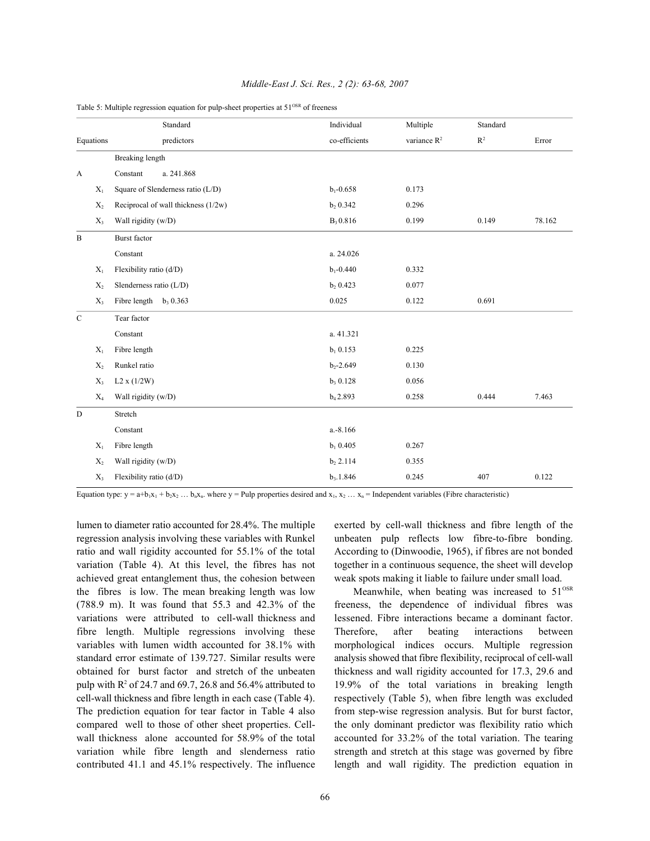|              |           | Standard                            | Individual    | Multiple       | Standard       |        |
|--------------|-----------|-------------------------------------|---------------|----------------|----------------|--------|
|              | Equations | predictors                          | co-efficients | variance $R^2$ | $\mathbb{R}^2$ | Error  |
|              |           | <b>Breaking length</b>              |               |                |                |        |
| A            |           | Constant<br>a. 241.868              |               |                |                |        |
|              | $X_1$     | Square of Slenderness ratio (L/D)   | $b_1 - 0.658$ | 0.173          |                |        |
|              | $X_2$     | Reciprocal of wall thickness (1/2w) | $b_2 0.342$   | 0.296          |                |        |
|              | $X_3$     | Wall rigidity (w/D)                 | $B_3 0.816$   | 0.199          | 0.149          | 78.162 |
| $\, {\bf B}$ |           | <b>Burst</b> factor                 |               |                |                |        |
|              |           | Constant                            | a. 24.026     |                |                |        |
|              | $X_1$     | Flexibility ratio (d/D)             | $b_1 - 0.440$ | 0.332          |                |        |
|              | $X_2$     | Slenderness ratio (L/D)             | $b_2 0.423$   | 0.077          |                |        |
|              | $X_3$     | Fibre length $b_3$ 0.363            | 0.025         | 0.122          | 0.691          |        |
| $\mathbf C$  |           | Tear factor                         |               |                |                |        |
|              |           | Constant                            | a. 41.321     |                |                |        |
|              | $X_1$     | Fibre length                        | $b_1 0.153$   | 0.225          |                |        |
|              | $X_2$     | Runkel ratio                        | $b_2 - 2.649$ | 0.130          |                |        |
|              | $X_3$     | L2 x (1/2W)                         | $b_3 0.128$   | 0.056          |                |        |
|              | $X_4$     | Wall rigidity (w/D)                 | $b_4 2.893$   | 0.258          | 0.444          | 7.463  |
| ${\bf D}$    |           | Stretch                             |               |                |                |        |
|              |           | Constant                            | a.-8.166      |                |                |        |
|              | $X_1$     | Fibre length                        | $b_1$ 0.405   | 0.267          |                |        |
|              | $X_2$     | Wall rigidity (w/D)                 | $b_2 2.114$   | 0.355          |                |        |
|              | $X_3$     | Flexibility ratio (d/D)             | $b_3.1.846$   | 0.245          | 407            | 0.122  |

### *Middle-East J. Sci. Res., 2 (2): 63-68, 2007*

Table 5: Multiple regression equation for pulp-sheet properties at  $51<sup>OSR</sup>$  of freeness

Equation type:  $y = a+b_1x_1 + b_2x_2... b_nx_n$ , where  $y =$  Pulp properties desired and  $x_1, x_2... x_n =$  Independent variables (Fibre characteristic)

regression analysis involving these variables with Runkel unbeaten pulp reflects low fibre-to-fibre bonding. ratio and wall rigidity accounted for 55.1% of the total According to (Dinwoodie, 1965), if fibres are not bonded variation (Table 4). At this level, the fibres has not together in a continuous sequence, the sheet will develop achieved great entanglement thus, the cohesion between weak spots making it liable to failure under small load. the fibres is low. The mean breaking length was low (788.9 m). It was found that 55.3 and 42.3% of the freeness, the dependence of individual fibres was variations were attributed to cell-wall thickness and lessened. Fibre interactions became a dominant factor. fibre length. Multiple regressions involving these Therefore, after beating interactions between variables with lumen width accounted for 38.1% with morphological indices occurs. Multiple regression standard error estimate of 139.727. Similar results were analysis showed that fibre flexibility, reciprocal of cell-wall obtained for burst factor and stretch of the unbeaten thickness and wall rigidity accounted for 17.3, 29.6 and pulp with  $R^2$  of 24.7 and 69.7, 26.8 and 56.4% attributed to 19.9% of the total variations in breaking length cell-wall thickness and fibre length in each case (Table 4). respectively (Table 5), when fibre length was excluded The prediction equation for tear factor in Table 4 also from step-wise regression analysis. But for burst factor, compared well to those of other sheet properties. Cell- the only dominant predictor was flexibility ratio which wall thickness alone accounted for 58.9% of the total accounted for 33.2% of the total variation. The tearing variation while fibre length and slenderness ratio strength and stretch at this stage was governed by fibre contributed 41.1 and 45.1% respectively. The influence length and wall rigidity. The prediction equation in

lumen to diameter ratio accounted for 28.4%. The multiple exerted by cell-wall thickness and fibre length of the

Meanwhile, when beating was increased to  $51^{\text{OSR}}$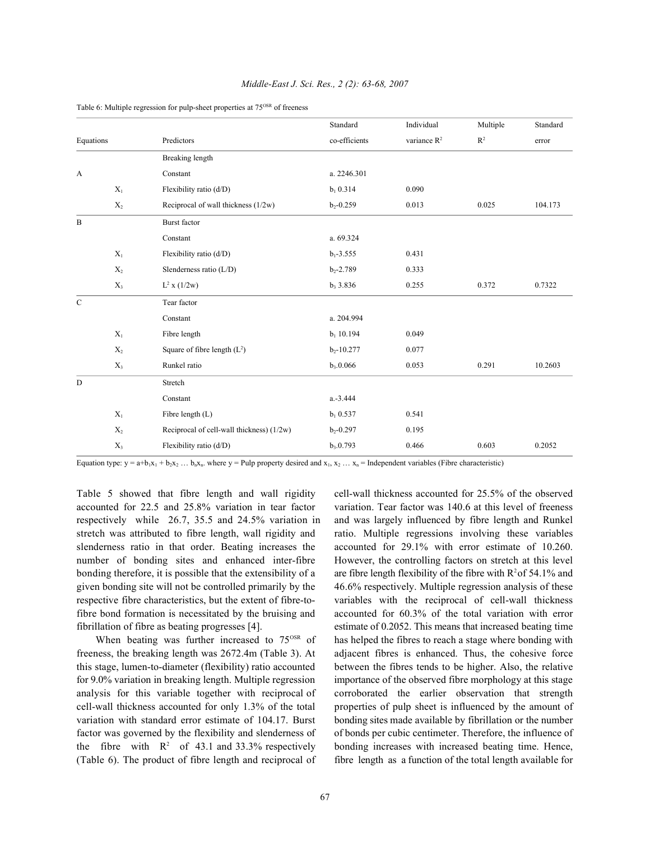|              |                |                                           | Standard       | Individual              | Multiple | Standard |
|--------------|----------------|-------------------------------------------|----------------|-------------------------|----------|----------|
| Equations    |                | Predictors                                | co-efficients  | variance R <sup>2</sup> | $R^2$    | error    |
|              |                | Breaking length                           |                |                         |          |          |
| $\mathbf{A}$ |                | Constant                                  | a. 2246.301    |                         |          |          |
|              | $X_1$          | Flexibility ratio (d/D)                   | $b_1 0.314$    | 0.090                   |          |          |
|              | $X_2$          | Reciprocal of wall thickness (1/2w)       | $b_2 - 0.259$  | 0.013                   | 0.025    | 104.173  |
| $\, {\bf B}$ |                | <b>Burst</b> factor                       |                |                         |          |          |
|              |                | Constant                                  | a. 69.324      |                         |          |          |
|              | $X_1$          | Flexibility ratio (d/D)                   | $b_1 - 3.555$  | 0.431                   |          |          |
|              | $\mathbf{X}_2$ | Slenderness ratio (L/D)                   | $b_2 - 2.789$  | 0.333                   |          |          |
|              | $X_3$          | $L^2$ x (1/2w)                            | $b_3$ 3.836    | 0.255                   | 0.372    | 0.7322   |
| $\mathbf C$  |                | Tear factor                               |                |                         |          |          |
|              |                | Constant                                  | a. 204.994     |                         |          |          |
|              | $X_1$          | Fibre length                              | $b_1$ 10.194   | 0.049                   |          |          |
|              | $\mathbf{X}_2$ | Square of fibre length $(L2)$             | $b_2 - 10.277$ | 0.077                   |          |          |
|              | $X_3$          | Runkel ratio                              | $b_3.0.066$    | 0.053                   | 0.291    | 10.2603  |
| D            |                | Stretch                                   |                |                         |          |          |
|              |                | Constant                                  | $a.-3.444$     |                         |          |          |
|              | $X_1$          | Fibre length (L)                          | $b_1$ 0.537    | 0.541                   |          |          |
|              | $\mathbf{X}_2$ | Reciprocal of cell-wall thickness) (1/2w) | $b_2 - 0.297$  | 0.195                   |          |          |
|              | $X_3$          | Flexibility ratio (d/D)                   | $b_3.0.793$    | 0.466                   | 0.603    | 0.2052   |

### *Middle-East J. Sci. Res., 2 (2): 63-68, 2007*

Table 6: Multiple regression for pulp-sheet properties at  $75^{\text{OSR}}$  of freeness

Equation type:  $y = a + b_1x_1 + b_2x_2... b_nx_n$ , where  $y =$  Pulp property desired and  $x_1, x_2... x_n =$  Independent variables (Fibre characteristic)

accounted for 22.5 and 25.8% variation in tear factor variation. Tear factor was 140.6 at this level of freeness respectively while 26.7, 35.5 and 24.5% variation in and was largely influenced by fibre length and Runkel stretch was attributed to fibre length, wall rigidity and ratio. Multiple regressions involving these variables slenderness ratio in that order. Beating increases the accounted for 29.1% with error estimate of 10.260. number of bonding sites and enhanced inter-fibre However, the controlling factors on stretch at this level bonding therefore, it is possible that the extensibility of a are fibre length flexibility of the fibre with  $R^2$  of 54.1% and given bonding site will not be controlled primarily by the 46.6% respectively. Multiple regression analysis of these respective fibre characteristics, but the extent of fibre-to- variables with the reciprocal of cell-wall thickness fibre bond formation is necessitated by the bruising and accounted for 60.3% of the total variation with error fibrillation of fibre as beating progresses [4]. estimate of 0.2052. This means that increased beating time

freeness, the breaking length was 2672.4m (Table 3). At adjacent fibres is enhanced. Thus, the cohesive force this stage, lumen-to-diameter (flexibility) ratio accounted between the fibres tends to be higher. Also, the relative for 9.0% variation in breaking length. Multiple regression importance of the observed fibre morphology at this stage analysis for this variable together with reciprocal of corroborated the earlier observation that strength cell-wall thickness accounted for only 1.3% of the total properties of pulp sheet is influenced by the amount of variation with standard error estimate of 104.17. Burst bonding sites made available by fibrillation or the number factor was governed by the flexibility and slenderness of of bonds per cubic centimeter. Therefore, the influence of the fibre with  $R^2$  of 43.1 and 33.3% respectively bonding increases with increased beating time. Hence, (Table 6). The product of fibre length and reciprocal of fibre length as a function of the total length available for

Table 5 showed that fibre length and wall rigidity cell-wall thickness accounted for 25.5% of the observed When beating was further increased to  $75<sup>OSR</sup>$  of has helped the fibres to reach a stage where bonding with